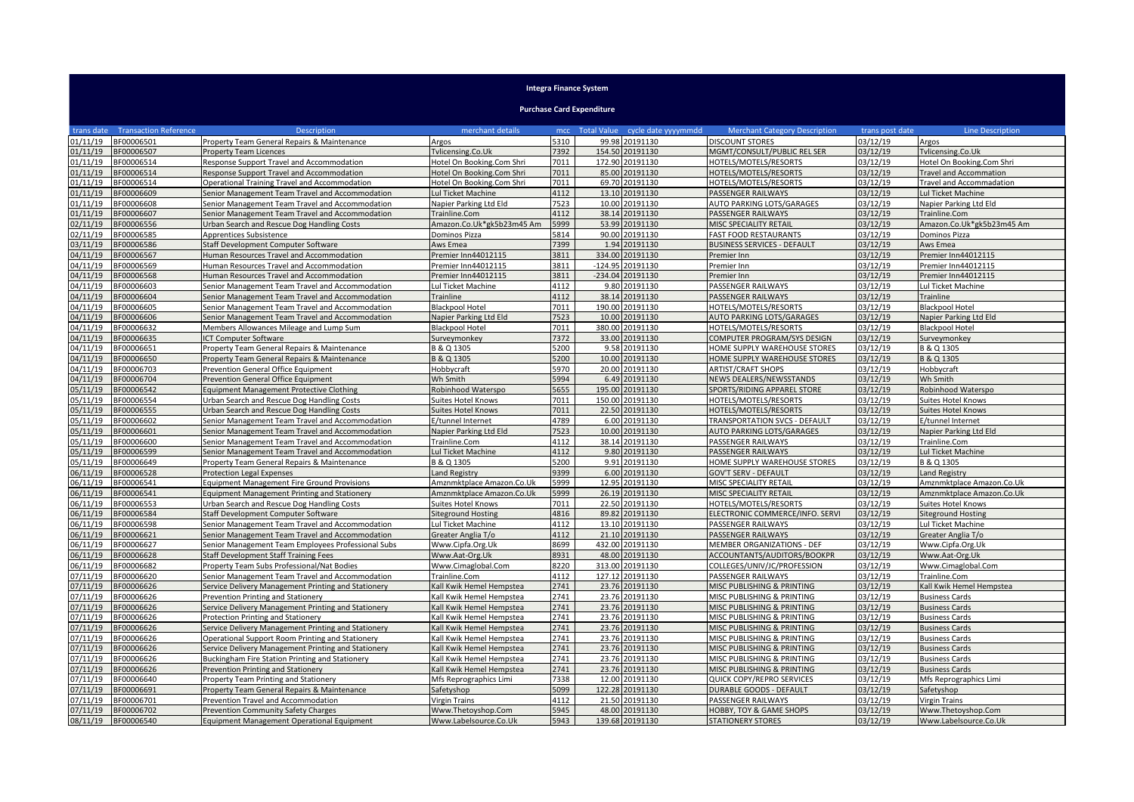## **Integra Finance System**

**Purchase Card Expenditure**

| trans date | <b>Transaction Reference</b> | <b>Description</b>                                  | merchant details          |      |        | mcc Total Value cycle date yyyymmdd | <b>Merchant Category Description</b> | trans post date | Line Description                |
|------------|------------------------------|-----------------------------------------------------|---------------------------|------|--------|-------------------------------------|--------------------------------------|-----------------|---------------------------------|
| 01/11/19   | BF00006501                   | Property Team General Repairs & Maintenance         | Argos                     | 5310 |        | 99.98 20191130                      | <b>DISCOUNT STORES</b>               | 03/12/19        | Argos                           |
| 01/11/19   | BF00006507                   | <b>Property Team Licences</b>                       | Tvlicensing.Co.Uk         | 7392 |        | 154.50 20191130                     | MGMT/CONSULT/PUBLIC REL SER          | 03/12/19        | Tvlicensing.Co.Uk               |
| 01/11/19   | BF00006514                   | Response Support Travel and Accommodation           | Hotel On Booking.Com Shri | 7011 |        | 172.90 20191130                     | HOTELS/MOTELS/RESORTS                | 03/12/19        | Hotel On Booking.Com Shri       |
| 01/11/19   | BF00006514                   | Response Support Travel and Accommodation           | Hotel On Booking.Com Shri | 7011 |        | 85.00 20191130                      | HOTELS/MOTELS/RESORTS                | 03/12/19        | <b>Travel and Accommation</b>   |
| 01/11/19   | BF00006514                   | Operational Training Travel and Accommodation       | Hotel On Booking.Com Shri | 7011 |        | 69.70 20191130                      | HOTELS/MOTELS/RESORTS                | 03/12/19        | <b>Travel and Accommadation</b> |
| 01/11/19   | BF00006609                   | Senior Management Team Travel and Accommodation     | Lul Ticket Machine        | 4112 |        | 13.10 20191130                      | PASSENGER RAILWAYS                   | 03/12/19        | Lul Ticket Machine              |
| )1/11/19   | 3F00006608                   | Senior Management Team Travel and Accommodation     | Napier Parking Ltd Eld    | 7523 | 10.00  | 20191130                            | AUTO PARKING LOTS/GARAGES            | 03/12/19        | Napier Parking Ltd Eld          |
| 01/11/19   | BF00006607                   | Senior Management Team Travel and Accommodation     | Trainline.Com             | 4112 |        | 38.14 20191130                      | PASSENGER RAILWAYS                   | 03/12/19        | Trainline.Com                   |
| 02/11/19   | BF00006556                   | Urban Search and Rescue Dog Handling Costs          | Amazon.Co.Uk*gk5b23m45 Am | 5999 |        | 53.99 20191130                      | MISC SPECIALITY RETAIL               | 03/12/19        | Amazon.Co.Uk*gk5b23m45 Am       |
| 02/11/19   | BF00006585                   | Apprentices Subsistence                             | Dominos Pizza             | 5814 |        | 90.00 20191130                      | <b>FAST FOOD RESTAURANTS</b>         | 03/12/19        | Dominos Pizza                   |
| 03/11/19   | BF00006586                   | Staff Development Computer Software                 | Aws Emea                  | 7399 |        | 1.94 20191130                       | <b>BUSINESS SERVICES - DEFAULT</b>   | 03/12/19        | Aws Emea                        |
| 04/11/19   | BF00006567                   | Human Resources Travel and Accommodation            | Premier Inn44012115       | 3811 | 334.00 | 20191130                            | Premier Inn                          | 03/12/19        | Premier Inn44012115             |
| 04/11/19   | 3F00006569                   | Human Resources Travel and Accommodation            | Premier Inn44012115       | 3811 |        | -124.95 20191130                    | Premier Inn                          | 03/12/19        | Premier Inn44012115             |
| 04/11/19   | BF00006568                   | Human Resources Travel and Accommodation            | Premier Inn44012115       | 3811 |        | -234.04 20191130                    | Premier Inn                          | 03/12/19        | Premier Inn44012115             |
| 04/11/19   | BF00006603                   | Senior Management Team Travel and Accommodation     | Lul Ticket Machine        | 4112 |        | 9.80 20191130                       | PASSENGER RAILWAYS                   | 03/12/19        | Lul Ticket Machine              |
| 04/11/19   | 3F00006604                   | Senior Management Team Travel and Accommodation     | Trainline                 | 4112 |        | 38.14 20191130                      | PASSENGER RAILWAYS                   | 03/12/19        | Trainline                       |
| 04/11/19   | BF00006605                   | Senior Management Team Travel and Accommodation     | <b>Blackpool Hotel</b>    | 7011 |        | 190.00 20191130                     | HOTELS/MOTELS/RESORTS                | 03/12/19        | <b>Blackpool Hotel</b>          |
| 04/11/19   | 3F00006606                   | Senior Management Team Travel and Accommodation     | Napier Parking Ltd Eld    | 7523 |        | 10.00 20191130                      | AUTO PARKING LOTS/GARAGES            | 03/12/19        | Napier Parking Ltd Eld          |
| 04/11/19   | BF00006632                   | Members Allowances Mileage and Lump Sum             | <b>Blackpool Hotel</b>    | 7011 |        | 380.00 20191130                     | HOTELS/MOTELS/RESORTS                | 03/12/19        | <b>Blackpool Hotel</b>          |
| 04/11/19   | 3F00006635                   | <b>ICT Computer Software</b>                        | Surveymonkey              | 7372 |        | 33.00 20191130                      | COMPUTER PROGRAM/SYS DESIGN          | 03/12/19        | Surveymonkey                    |
| 4/11/19    | BF00006651                   | Property Team General Repairs & Maintenance         | B & Q 1305                | 5200 | 9.58   | 20191130                            | HOME SUPPLY WAREHOUSE STORES         | 03/12/19        | B & Q 1305                      |
| 04/11/19   | 8F00006650                   | Property Team General Repairs & Maintenance         | B & Q 1305                | 5200 |        | 10.00 20191130                      | HOME SUPPLY WAREHOUSE STORES         | 03/12/19        | B & Q 1305                      |
| 04/11/19   | BF00006703                   | Prevention General Office Equipment                 | Hobbycraft                | 5970 |        | 20.00 20191130                      | <b>ARTIST/CRAFT SHOPS</b>            | 03/12/19        | Hobbycraft                      |
| 04/11/19   | BF00006704                   | Prevention General Office Equipment                 | Wh Smith                  | 5994 |        | 6.49 20191130                       | NEWS DEALERS/NEWSSTANDS              | 03/12/19        | Wh Smith                        |
| )5/11/19   | BF00006542                   | Equipment Management Protective Clothing            | Robinhood Waterspo        | 5655 |        | 195.00 20191130                     | SPORTS/RIDING APPAREL STORE          | 03/12/19        | Robinhood Waterspo              |
| 05/11/19   | BF00006554                   | Urban Search and Rescue Dog Handling Costs          | Suites Hotel Knows        | 7011 |        | 150.00 20191130                     | HOTELS/MOTELS/RESORTS                | 03/12/19        | <b>Suites Hotel Knows</b>       |
| 05/11/19   | 8F00006555                   | Urban Search and Rescue Dog Handling Costs          | <b>Suites Hotel Knows</b> | 7011 |        | 22.50 20191130                      | HOTELS/MOTELS/RESORTS                | 03/12/19        | <b>Suites Hotel Knows</b>       |
| 15/11/19   | BF00006602                   | Senior Management Team Travel and Accommodation     | E/tunnel Internet         | 4789 |        | 6.00 20191130                       | TRANSPORTATION SVCS - DEFAULT        | 03/12/19        | E/tunnel Internet               |
| 05/11/19   | BF00006601                   | Senior Management Team Travel and Accommodation     | Napier Parking Ltd Eld    | 7523 | 10.00  | 20191130                            | <b>AUTO PARKING LOTS/GARAGES</b>     | 03/12/19        | Napier Parking Ltd Eld          |
| 05/11/19   | BF00006600                   | Senior Management Team Travel and Accommodation     | Trainline.Com             | 4112 |        | 38.14 20191130                      | PASSENGER RAILWAYS                   | 03/12/19        | Trainline.Com                   |
| 05/11/19   | BF00006599                   | Senior Management Team Travel and Accommodation     | Lul Ticket Machine        | 4112 | 9.80   | 20191130                            | <b>PASSENGER RAILWAYS</b>            | 03/12/19        | Lul Ticket Machine              |
| 5/11/19    | BF00006649                   | Property Team General Repairs & Maintenance         | B & Q 1305                | 5200 |        | 9.91 20191130                       | HOME SUPPLY WAREHOUSE STORES         | 03/12/19        | B & Q 1305                      |
| 6/11/19    | BF00006528                   | <b>Protection Legal Expenses</b>                    | Land Registry             | 9399 | 6.00   | 20191130                            | <b>GOV'T SERV - DEFAULT</b>          | 03/12/19        | Land Registry                   |
| )6/11/19   | BF00006541                   | <b>Equipment Management Fire Ground Provisions</b>  | Amznmktplace Amazon.Co.Uk | 5999 |        | 12.95 20191130                      | MISC SPECIALITY RETAIL               | 03/12/19        | Amznmktplace Amazon.Co.Uk       |
| 6/11/19    | BF00006541                   | <b>Equipment Management Printing and Stationery</b> | Amznmktplace Amazon.Co.Uk | 5999 |        | 26.19 20191130                      | MISC SPECIALITY RETAIL               | 03/12/19        | Amznmktplace Amazon.Co.Uk       |
| 06/11/19   | BF00006553                   | Urban Search and Rescue Dog Handling Costs          | Suites Hotel Knows        | 7011 |        | 22.50 20191130                      | HOTELS/MOTELS/RESORTS                | 03/12/19        | <b>Suites Hotel Knows</b>       |
| 06/11/19   | BF00006584                   | Staff Development Computer Software                 | <b>Siteground Hosting</b> | 4816 |        | 89.82 20191130                      | ELECTRONIC COMMERCE/INFO. SERVI      | 03/12/19        | <b>Siteground Hosting</b>       |
| )6/11/19   | BF00006598                   | Senior Management Team Travel and Accommodation     | Lul Ticket Machine        | 4112 |        | 13.10 20191130                      | PASSENGER RAILWAYS                   | 03/12/19        | Lul Ticket Machine              |
| 06/11/19   | BF00006621                   | Senior Management Team Travel and Accommodation     | Greater Anglia T/o        | 4112 |        | 21.10 20191130                      | PASSENGER RAILWAYS                   | 03/12/19        | Greater Anglia T/o              |
| 06/11/19   | BF00006627                   | Senior Management Team Employees Professional Subs  | Www.Cipfa.Org.Uk          | 8699 |        | 432.00 20191130                     | MEMBER ORGANIZATIONS - DEF           | 03/12/19        | Www.Cipfa.Org.Uk                |
| 06/11/19   | BF00006628                   | Staff Development Staff Training Fees               | Www.Aat-Org.Uk            | 8931 |        | 48.00 20191130                      | ACCOUNTANTS/AUDITORS/BOOKPR          | 03/12/19        | Www.Aat-Org.Uk                  |
| 6/11/19    | BF00006682                   | Property Team Subs Professional/Nat Bodies          | Www.Cimaglobal.Com        | 8220 |        | 313.00 20191130                     | COLLEGES/UNIV/JC/PROFESSION          | 03/12/19        | Www.Cimaglobal.Com              |
| 07/11/19   | BF00006620                   | Senior Management Team Travel and Accommodation     | Trainline.Com             | 4112 |        | 127.12 20191130                     | PASSENGER RAILWAYS                   | 03/12/19        | Trainline.Com                   |
| 07/11/19   | BF00006626                   | Service Delivery Management Printing and Stationery | Kall Kwik Hemel Hempstea  | 2741 |        | 23.76 20191130                      | MISC PUBLISHING & PRINTING           | 03/12/19        | Kall Kwik Hemel Hempstea        |
| 07/11/19   | BF00006626                   | Prevention Printing and Stationery                  | Kall Kwik Hemel Hempstea  | 2741 |        | 23.76 20191130                      | MISC PUBLISHING & PRINTING           | 03/12/19        | <b>Business Cards</b>           |
| 07/11/19   | BF00006626                   | Service Delivery Management Printing and Stationery | Kall Kwik Hemel Hempstea  | 2741 |        | 23.76 20191130                      | MISC PUBLISHING & PRINTING           | 03/12/19        | <b>Business Cards</b>           |
| )7/11/19   | BF00006626                   | Protection Printing and Stationery                  | Kall Kwik Hemel Hempstea  | 2741 |        | 23.76 20191130                      | MISC PUBLISHING & PRINTING           | 03/12/19        | <b>Business Cards</b>           |
| 07/11/19   | BF00006626                   | Service Delivery Management Printing and Stationery | Kall Kwik Hemel Hempstea  | 2741 |        | 23.76 20191130                      | MISC PUBLISHING & PRINTING           | 03/12/19        | <b>Business Cards</b>           |
| 07/11/19   | BF00006626                   | Operational Support Room Printing and Stationery    | Kall Kwik Hemel Hempstea  | 2741 |        | 23.76 20191130                      | MISC PUBLISHING & PRINTING           | 03/12/19        | <b>Business Cards</b>           |
| 07/11/19   | BF00006626                   | Service Delivery Management Printing and Stationery | Kall Kwik Hemel Hempstea  | 2741 | 23.76  | 20191130                            | MISC PUBLISHING & PRINTING           | 03/12/19        | <b>Business Cards</b>           |
| 07/11/19   | BF00006626                   | Buckingham Fire Station Printing and Stationery     | Kall Kwik Hemel Hempstea  | 2741 |        | 23.76 20191130                      | MISC PUBLISHING & PRINTING           | 03/12/19        | <b>Business Cards</b>           |
| 07/11/19   | BF00006626                   | Prevention Printing and Stationery                  | Kall Kwik Hemel Hempstea  | 2741 |        | 23.76 20191130                      | MISC PUBLISHING & PRINTING           | 03/12/19        | <b>Business Cards</b>           |
| 07/11/19   | BF00006640                   | Property Team Printing and Stationery               | Mfs Reprographics Limi    | 7338 |        | 12.00 20191130                      | QUICK COPY/REPRO SERVICES            | 03/12/19        | Mfs Reprographics Limi          |
| )7/11/19   | BF00006691                   | Property Team General Repairs & Maintenance         | Safetyshop                | 5099 |        | 122.28 20191130                     | <b>DURABLE GOODS - DEFAULT</b>       | 03/12/19        | Safetyshop                      |
| 07/11/19   | BF00006701                   | Prevention Travel and Accommodation                 | Virgin Trains             | 4112 |        | 21.50 20191130                      | PASSENGER RAILWAYS                   | 03/12/19        | <b>Virgin Trains</b>            |
| 07/11/19   | BF00006702                   | Prevention Community Safety Charges                 | Www.Thetoyshop.Com        | 5945 |        | 48.00 20191130                      | HOBBY, TOY & GAME SHOPS              | 03/12/19        | Www.Thetoyshop.Com              |
| 08/11/19   | BF00006540                   | Equipment Management Operational Equipment          | Www.Labelsource.Co.Uk     | 5943 |        | 139.68 20191130                     | <b>STATIONERY STORES</b>             | 03/12/19        | Www.Labelsource.Co.Uk           |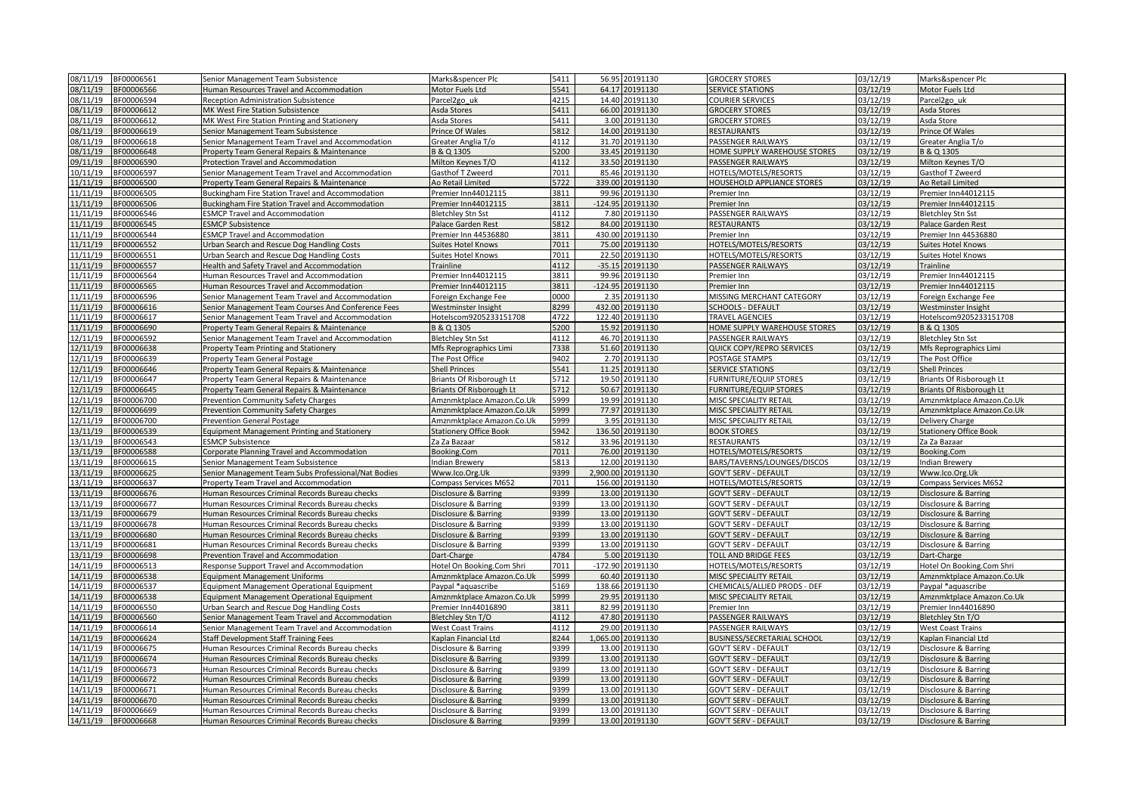| 08/11/19 | BF00006561               | Senior Management Team Subsistence                  | Marks&spencer Plc             | 5411 | 56.95 20191130        | <b>GROCERY STORES</b>              | 03/12/19 | Marks&spencer Plc               |
|----------|--------------------------|-----------------------------------------------------|-------------------------------|------|-----------------------|------------------------------------|----------|---------------------------------|
| 08/11/19 | BF00006566               | Human Resources Travel and Accommodation            | Motor Fuels Ltd               | 5541 | 64.17<br>20191130     | <b>SERVICE STATIONS</b>            | 03/12/19 | Motor Fuels Ltd                 |
| 08/11/19 | BF00006594               | Reception Administration Subsistence                | Parcel2go uk                  | 4215 | 14.40 20191130        | COURIER SERVICES                   | 03/12/19 | Parcel <sub>2go uk</sub>        |
| 08/11/19 | BF00006612               | MK West Fire Station Subsistence                    | Asda Stores                   | 5411 | 66.00 20191130        | <b>GROCERY STORES</b>              | 03/12/19 | Asda Stores                     |
| 08/11/19 | BF00006612               | MK West Fire Station Printing and Stationery        | Asda Stores                   | 5411 | 3.00 20191130         | <b>GROCERY STORES</b>              | 03/12/19 | Asda Store                      |
| 08/11/19 | BF00006619               | Senior Management Team Subsistence                  | Prince Of Wales               | 5812 | 14.00 20191130        | RESTAURANTS                        | 03/12/19 | Prince Of Wales                 |
| 08/11/19 | BF00006618               | Senior Management Team Travel and Accommodation     | Greater Anglia T/o            | 4112 | 31.70 20191130        | PASSENGER RAILWAYS                 | 03/12/19 | Greater Anglia T/o              |
| 08/11/19 | BF00006648               | Property Team General Repairs & Maintenance         | 3 & Q 1305                    | 5200 | 33.45 20191130        | HOME SUPPLY WAREHOUSE STORES       | 03/12/19 | B & Q 1305                      |
| 09/11/19 | BF00006590               | <b>Protection Travel and Accommodation</b>          | Milton Keynes T/O             | 4112 | 33.50 20191130        | <b>PASSENGER RAILWAYS</b>          | 03/12/19 | Milton Keynes T/O               |
| 10/11/19 | BF00006597               | Senior Management Team Travel and Accommodation     | Gasthof T Zweerd              | 7011 | 85.46 20191130        | HOTELS/MOTELS/RESORTS              | 03/12/19 | Gasthof T Zweerd                |
| 11/11/19 | BF00006500               | Property Team General Repairs & Maintenance         | Ao Retail Limited             | 5722 | 339.00 20191130       | HOUSEHOLD APPLIANCE STORES         | 03/12/19 | Ao Retail Limited               |
| 11/11/19 | BF00006505               | Buckingham Fire Station Travel and Accommodation    | Premier Inn44012115           | 3811 | 99.96 20191130        | Premier Inn                        | 03/12/19 | Premier Inn44012115             |
| 11/11/19 | BF00006506               | Buckingham Fire Station Travel and Accommodation    | remier Inn44012115            | 3811 | $-124.95$<br>20191130 | Premier Inn                        | 03/12/19 | Premier Inn44012115             |
| 11/11/19 | BF00006546               | <b>ESMCP Travel and Accommodation</b>               |                               | 4112 | 7.80 20191130         | PASSENGER RAILWAYS                 | 03/12/19 | <b>Bletchley Stn Sst</b>        |
| 11/11/19 | BF00006545               | <b>ESMCP Subsistence</b>                            | 3letchley Stn Sst             | 5812 | 84.00 20191130        | RESTAURANTS                        | 03/12/19 | <b>Palace Garden Rest</b>       |
| 11/11/19 |                          |                                                     | Palace Garden Rest            | 3811 | 430.00 20191130       |                                    | 03/12/19 |                                 |
| 11/11/19 | BF00006544<br>BF00006552 | <b>ESMCP Travel and Accommodation</b>               | Premier Inn 44536880          | 7011 | 75.00 20191130        | Premier Inn                        | 03/12/19 | Premier Inn 44536880            |
| 11/11/19 |                          | Urban Search and Rescue Dog Handling Costs          | Suites Hotel Knows            | 7011 | 22.50                 | HOTELS/MOTELS/RESORTS              |          | <b>Suites Hotel Knows</b>       |
|          | BF00006551               | Jrban Search and Rescue Dog Handling Costs          | uites Hotel Knows             |      | 20191130              | HOTELS/MOTELS/RESORTS              | 03/12/19 | Suites Hotel Knows              |
| 11/11/19 | BF00006557               | Health and Safety Travel and Accommodation          | Trainline                     | 4112 | -35.15 20191130       | PASSENGER RAILWAYS                 | 03/12/19 | Trainline                       |
| 11/11/19 | BF00006564               | Human Resources Travel and Accommodation            | Premier Inn44012115           | 3811 | 99.96 20191130        | Premier Inn                        | 03/12/19 | Premier Inn44012115             |
| 11/11/19 | BF00006565               | Human Resources Travel and Accommodation            | Premier Inn44012115           | 3811 | -124.95 20191130      | Premier Inn                        | 03/12/19 | Premier Inn44012115             |
| 11/11/19 | BF00006596               | Senior Management Team Travel and Accommodation     | Foreign Exchange Fee          | 0000 | 2.35 20191130         | MISSING MERCHANT CATEGORY          | 03/12/19 | Foreign Exchange Fee            |
| 11/11/19 | BF00006616               | Senior Management Team Courses And Conference Fees  | Westminster Insight           | 8299 | 432.00 20191130       | <b>SCHOOLS - DEFAULT</b>           | 03/12/19 | Westminster Insight             |
| 11/11/19 | BF00006617               | Senior Management Team Travel and Accommodation     | lotelscom9205233151708        | 4722 | 122.40 20191130       | <b>TRAVEL AGENCIES</b>             | 03/12/19 | Hotelscom9205233151708          |
| 11/11/19 | BF00006690               | Property Team General Repairs & Maintenance         | 3 & Q 1305                    | 5200 | 15.92 20191130        | HOME SUPPLY WAREHOUSE STORES       | 03/12/19 | B & Q 1305                      |
| 12/11/19 | BF00006592               | Senior Management Team Travel and Accommodation     | Bletchley Stn Sst             | 4112 | 46.70 20191130        | PASSENGER RAILWAYS                 | 03/12/19 | Bletchley Stn Sst               |
| 12/11/19 | BF00006638               | Property Team Printing and Stationery               | Mfs Reprographics Limi        | 7338 | 51.60 20191130        | <b>QUICK COPY/REPRO SERVICES</b>   | 03/12/19 | Mfs Reprographics Limi          |
| 12/11/19 | BF00006639               | Property Team General Postage                       | The Post Office               | 9402 | 2.70 20191130         | POSTAGE STAMPS                     | 03/12/19 | The Post Office                 |
| 12/11/19 | BF00006646               | Property Team General Repairs & Maintenance         | Shell Princes                 | 5541 | 11.25<br>20191130     | <b>SERVICE STATIONS</b>            | 03/12/19 | <b>Shell Princes</b>            |
| 12/11/19 | BF00006647               | Property Team General Repairs & Maintenance         | Briants Of Risborough Lt      | 5712 | 19.50 20191130        | <b>FURNITURE/EQUIP STORES</b>      | 03/12/19 | Briants Of Risborough Lt        |
| 12/11/19 | BF00006645               | Property Team General Repairs & Maintenance         | Briants Of Risborough Lt      | 5712 | 50.67 20191130        | <b>FURNITURE/EQUIP STORES</b>      | 03/12/19 | Briants Of Risborough Lt        |
| 12/11/19 | BF00006700               | Prevention Community Safety Charges                 | Amznmktplace Amazon.Co.Uk     | 5999 | 19.99 20191130        | MISC SPECIALITY RETAIL             | 03/12/19 | Amznmktplace Amazon.Co.Uk       |
| 12/11/19 | BF00006699               | Prevention Community Safety Charges                 | Amznmktplace Amazon.Co.Uk     | 5999 | 77.97 20191130        | MISC SPECIALITY RETAIL             | 03/12/19 | Amznmktplace Amazon.Co.Uk       |
| 12/11/19 | BF00006700               | Prevention General Postage                          | Amznmktplace Amazon.Co.Uk     | 5999 | 3.95<br>20191130      | MISC SPECIALITY RETAIL             | 03/12/19 | Delivery Charge                 |
| 13/11/19 | BF00006539               | <b>Equipment Management Printing and Stationery</b> | <b>Stationery Office Book</b> | 5942 | 136.50 20191130       | <b>BOOK STORES</b>                 | 03/12/19 | <b>Stationery Office Book</b>   |
| 13/11/19 | BF00006543               | <b>ESMCP Subsistence</b>                            | Za Za Bazaar                  | 5812 | 33.96 20191130        | RESTAURANTS                        | 03/12/19 | Za Za Bazaar                    |
| 13/11/19 | BF00006588               | Corporate Planning Travel and Accommodation         | Booking.Com                   | 7011 | 76.00 20191130        | HOTELS/MOTELS/RESORTS              | 03/12/19 | Booking.Com                     |
| 13/11/19 | BF00006615               | Senior Management Team Subsistence                  | ndian Brewery                 | 5813 | 12.00 20191130        | BARS/TAVERNS/LOUNGES/DISCOS        | 03/12/19 | Indian Brewery                  |
| 13/11/19 | BF00006625               | Senior Management Team Subs Professional/Nat Bodies | Www.lco.Org.Uk                | 9399 | 2,900.00 20191130     | <b>GOV'T SERV - DEFAULT</b>        | 03/12/19 | Www.lco.Org.Uk                  |
| 13/11/19 | BF00006637               | Property Team Travel and Accommodation              | Compass Services M652         | 7011 | 156.00 20191130       | HOTELS/MOTELS/RESORTS              | 03/12/19 | Compass Services M652           |
| 13/11/19 | BF00006676               | Human Resources Criminal Records Bureau checks      | Disclosure & Barring          | 9399 | 13.00 20191130        | <b>GOV'T SERV - DEFAULT</b>        | 03/12/19 | Disclosure & Barring            |
| 13/11/19 | BF00006677               | Human Resources Criminal Records Bureau checks      | Disclosure & Barring          | 9399 | 13.00 20191130        | <b>GOV'T SERV - DEFAULT</b>        | 03/12/19 | Disclosure & Barring            |
| 13/11/19 | BF00006679               | Human Resources Criminal Records Bureau checks      | Disclosure & Barring          | 9399 | 13.00 20191130        | <b>GOV'T SERV - DEFAULT</b>        | 03/12/19 | Disclosure & Barring            |
| 13/11/19 | BF00006678               | Human Resources Criminal Records Bureau checks      | Disclosure & Barring          | 9399 | 13.00 20191130        | <b>GOV'T SERV - DEFAULT</b>        | 03/12/19 | Disclosure & Barring            |
| 13/11/19 | BF00006680               | Human Resources Criminal Records Bureau checks      | isclosure & Barring           | 9399 | 13.00<br>20191130     | <b>GOV'T SERV - DEFAULT</b>        | 03/12/19 | Disclosure & Barring            |
| 13/11/19 | BF00006681               | Human Resources Criminal Records Bureau checks      | Disclosure & Barring          | 9399 | 13.00 20191130        | <b>GOV'T SERV - DEFAULT</b>        | 03/12/19 | Disclosure & Barring            |
| 13/11/19 | BF00006698               | Prevention Travel and Accommodation                 | Dart-Charge                   | 4784 | 5.00 20191130         | <b>TOLL AND BRIDGE FEES</b>        | 03/12/19 | Dart-Charge                     |
| 14/11/19 | BF00006513               | Response Support Travel and Accommodation           | Hotel On Booking.Com Shri     | 7011 | -172.90 20191130      | HOTELS/MOTELS/RESORTS              | 03/12/19 | Hotel On Booking.Com Shri       |
| 14/11/19 | BF00006538               | <b>Equipment Management Uniforms</b>                | Amznmktplace Amazon.Co.Uk     | 5999 | 60.40 20191130        | MISC SPECIALITY RETAIL             | 03/12/19 | Amznmktplace Amazon.Co.Uk       |
| 14/11/19 | BF00006537               | Equipment Management Operational Equipment          | aypal *aquascribe'            | 5169 | 138.66 20191130       | CHEMICALS/ALLIED PRODS - DEF       | 03/12/19 | Paypal *aquascribe              |
| 14/11/19 | BF00006538               | Equipment Management Operational Equipment          | Amznmktplace Amazon.Co.Uk     | 5999 | 29.95 20191130        | MISC SPECIALITY RETAIL             | 03/12/19 | Amznmktplace Amazon.Co.Uk       |
| 14/11/19 | BF00006550               | Urban Search and Rescue Dog Handling Costs          | Premier Inn44016890           | 3811 | 82.99 20191130        | Premier Inn                        | 03/12/19 | Premier Inn44016890             |
| 14/11/19 | BF00006560               | Senior Management Team Travel and Accommodation     | <b>Bletchley Stn T/O</b>      | 4112 | 47.80<br>20191130     | PASSENGER RAILWAYS                 | 03/12/19 | Bletchley Stn T/O               |
| 14/11/19 | BF00006614               | Senior Management Team Travel and Accommodation     | West Coast Trains             | 4112 | 29.00 20191130        | PASSENGER RAILWAYS                 | 03/12/19 | <b>West Coast Trains</b>        |
| 14/11/19 | BF00006624               | <b>Staff Development Staff Training Fees</b>        | Kaplan Financial Ltd          | 8244 | 1,065.00 20191130     | <b>BUSINESS/SECRETARIAL SCHOOL</b> | 03/12/19 | Kaplan Financial Ltd            |
| 14/11/19 | BF00006675               | Human Resources Criminal Records Bureau checks      | Disclosure & Barring          | 9399 | 13.00 20191130        | <b>GOV'T SERV - DEFAULT</b>        | 03/12/19 | Disclosure & Barring            |
| 14/11/19 | BF00006674               | Human Resources Criminal Records Bureau checks      | Disclosure & Barring          | 9399 | 13.00 20191130        | <b>GOV'T SERV - DEFAULT</b>        | 03/12/19 | Disclosure & Barring            |
| 14/11/19 | BF00006673               | Human Resources Criminal Records Bureau checks      | Disclosure & Barring          | 9399 | 13.00 20191130        | GOV'T SERV - DEFAULT               | 03/12/19 | Disclosure & Barring            |
| 14/11/19 | BF00006672               | Human Resources Criminal Records Bureau checks      | Disclosure & Barring          | 9399 | 13.00 20191130        | <b>GOV'T SERV - DEFAULT</b>        | 03/12/19 | Disclosure & Barring            |
| 14/11/19 | BF00006671               | Human Resources Criminal Records Bureau checks      | Disclosure & Barring          | 9399 | 13.00 20191130        | <b>GOV'T SERV - DEFAULT</b>        | 03/12/19 | Disclosure & Barring            |
| 14/11/19 | BF00006670               | Human Resources Criminal Records Bureau checks      | isclosure & Barring           | 9399 | 13.00<br>20191130     | <b>GOV'T SERV - DEFAULT</b>        | 03/12/19 | Disclosure & Barring            |
| 14/11/19 | BF00006669               | Human Resources Criminal Records Bureau checks      | Disclosure & Barring          | 9399 | 13.00 20191130        | <b>GOV'T SERV - DEFAULT</b>        | 03/12/19 | Disclosure & Barring            |
| 14/11/19 | BF00006668               | Human Resources Criminal Records Bureau checks      | Disclosure & Barring          | 9399 | 13.00 20191130        | <b>GOV'T SERV - DEFAULT</b>        | 03/12/19 | <b>Disclosure &amp; Barring</b> |
|          |                          |                                                     |                               |      |                       |                                    |          |                                 |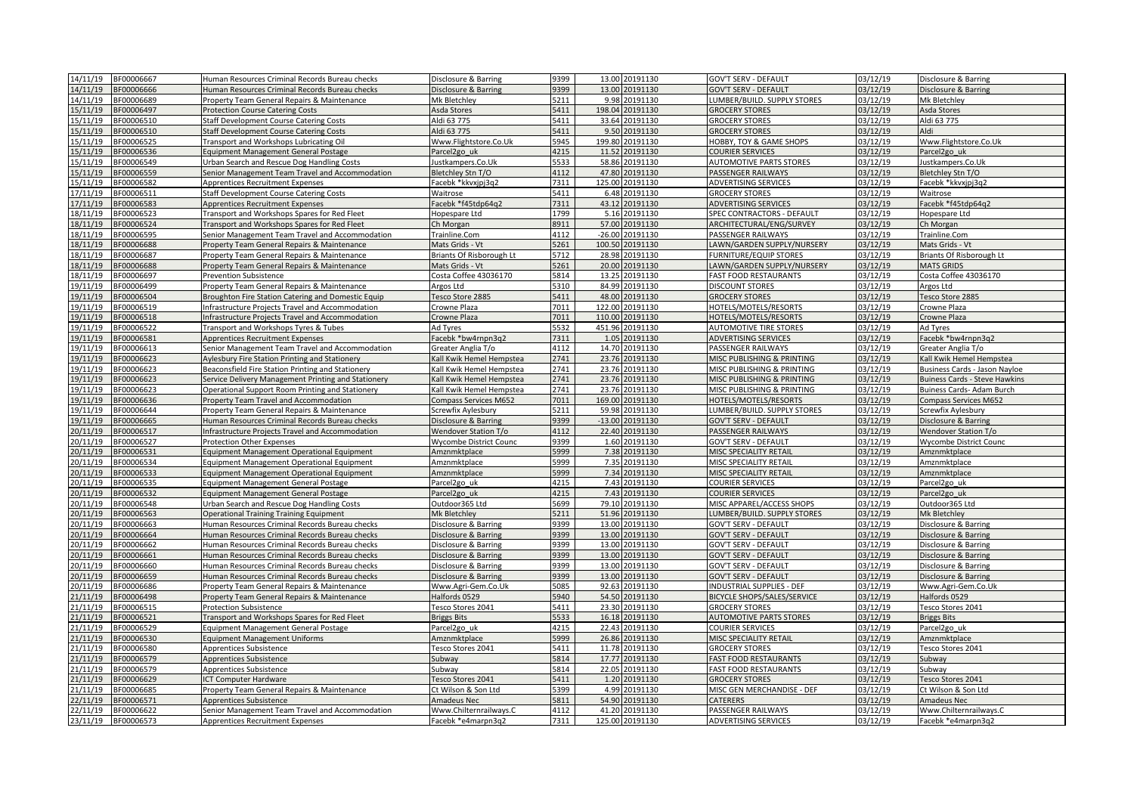| 14/11/19<br>BF00006667                           | Human Resources Criminal Records Bureau checks                                             | Disclosure & Barring                         | 9399         | 13.00 20191130                    | <b>GOV'T SERV - DEFAULT</b>                              | 03/12/19             | Disclosure & Barring                         |
|--------------------------------------------------|--------------------------------------------------------------------------------------------|----------------------------------------------|--------------|-----------------------------------|----------------------------------------------------------|----------------------|----------------------------------------------|
| 14/11/19<br>BF00006666                           | Human Resources Criminal Records Bureau checks                                             | isclosure & Barring                          | 9399         | 13.00<br>20191130                 | <b>GOV'T SERV - DEFAULT</b>                              | 3/12/19              | Disclosure & Barring                         |
| 14/11/19<br>BF00006689                           | Property Team General Repairs & Maintenance                                                | Mk Bletchley                                 | 5211         | 9.98 20191130                     | LUMBER/BUILD. SUPPLY STORES                              | 03/12/19             | <b>Mk Bletchley</b>                          |
| 15/11/19<br>BF00006497                           | <b>Protection Course Catering Costs</b>                                                    | Asda Stores                                  | 5411         | 198.04 20191130                   | <b>GROCERY STORES</b>                                    | 03/12/19             | Asda Stores                                  |
| 15/11/19<br>BF00006510                           | <b>Staff Development Course Catering Costs</b>                                             | Aldi 63 775                                  | 5411         | 33.64 20191130                    | <b>GROCERY STORES</b>                                    | 03/12/19             | Aldi 63 775                                  |
| 15/11/19<br>BF00006510                           | <b>Staff Development Course Catering Costs</b>                                             | Aldi 63 775                                  | 5411         | 9.50 20191130                     | <b>GROCERY STORES</b>                                    | 03/12/19             | Aldi                                         |
| 15/11/19<br>BF00006525                           | Transport and Workshops Lubricating Oil                                                    | Www.Flightstore.Co.Uk                        | 5945         | 199.80 20191130                   | HOBBY, TOY & GAME SHOPS                                  | 03/12/19             | Www.Flightstore.Co.Uk                        |
| 15/11/19<br>BF00006536                           | <b>Equipment Management General Postage</b>                                                | arcel <sub>2gouk</sub>                       | 4215         | 11.52<br>20191130                 | <b>COURIER SERVICES</b>                                  | 03/12/19             | Parcel2go uk                                 |
| 15/11/19<br>BF00006549                           | Urban Search and Rescue Dog Handling Costs                                                 | ustkampers.Co.Uk                             | 5533         | 58.86<br>20191130                 | <b>AUTOMOTIVE PARTS STORES</b>                           | 03/12/19             | Justkampers.Co.Uk                            |
| 15/11/19<br>BF00006559                           | Senior Management Team Travel and Accommodation                                            | Bletchley Stn T/O                            | 4112         | 47.80<br>20191130                 | PASSENGER RAILWAYS                                       | 03/12/19             | Bletchley Stn T/O                            |
| 15/11/19<br>BF00006582                           | Apprentices Recruitment Expenses                                                           | acebk *kkvxjpj3q2                            | 7311         | 125.00 20191130                   | ADVERTISING SERVICES                                     | 03/12/19             | Facebk *kkvxjpj3q2                           |
| 17/11/19<br>BF00006511                           | <b>Staff Development Course Catering Costs</b>                                             | Waitrose                                     | 5411         | 6.48 20191130                     | <b>GROCERY STORES</b>                                    | 03/12/19             | Waitrose                                     |
| 17/11/19<br>BF00006583                           | <b>Apprentices Recruitment Expenses</b>                                                    | acebk *f45tdp64q2                            | 7311         | 43.12<br>20191130                 | <b>ADVERTISING SERVICES</b>                              | 3/12/19              | Facebk *f45tdp64q2                           |
| 18/11/19<br>BF00006523                           | Transport and Workshops Spares for Red Fleet                                               | lopespare Ltd                                | 1799         | 5.16 20191130                     | SPEC CONTRACTORS - DEFAULT                               | 03/12/19             | Hopespare Ltd                                |
| 18/11/19<br>BF00006524                           | Transport and Workshops Spares for Red Fleet                                               | Ch Morgan                                    | 8911         | 57.00 20191130                    | ARCHITECTURAL/ENG/SURVEY                                 | 03/12/19             | Ch Morgan                                    |
| 18/11/19<br>BF00006595                           | Senior Management Team Travel and Accommodation                                            | Trainline.Com                                | 4112         | $-26.00$ 20191130                 | PASSENGER RAILWAYS                                       | 03/12/19             | Trainline.Com                                |
| 18/11/19<br>BF00006688                           | Property Team General Repairs & Maintenance                                                | Mats Grids - Vt                              | 5261         | 100.50 20191130                   | LAWN/GARDEN SUPPLY/NURSERY                               | 03/12/19             | Mats Grids - Vt                              |
| 18/11/19<br>BF00006687                           | Property Team General Repairs & Maintenance                                                | Briants Of Risborough Lt                     | 5712         | 20191130<br>28.98                 | <b>FURNITURE/EQUIP STORES</b>                            | 03/12/19             | Briants Of Risborough Lt                     |
| 18/11/19<br>BF00006688                           | Property Team General Repairs & Maintenance                                                | Mats Grids - Vt                              | 5261         | 20.00 20191130                    | LAWN/GARDEN SUPPLY/NURSERY                               | 03/12/19             | <b>MATS GRIDS</b>                            |
| 18/11/19<br>BF00006697                           | <b>Prevention Subsistence</b>                                                              | Costa Coffee 43036170                        | 5814         | 13.25 20191130                    | <b>FAST FOOD RESTAURANTS</b>                             | 03/12/19             | Costa Coffee 43036170                        |
| 19/11/19<br>BF00006499                           | Property Team General Repairs & Maintenance                                                | Argos Ltd                                    | 5310         | 84.99<br>20191130                 | <b>DISCOUNT STORES</b>                                   | 03/12/19             | Argos Ltd                                    |
| 19/11/19<br>BF00006504                           | Broughton Fire Station Catering and Domestic Equip                                         | Tesco Store 2885                             | 5411         | 48.00 20191130                    | <b>GROCERY STORES</b>                                    | 03/12/19             | Tesco Store 2885                             |
| 19/11/19<br>BF00006519                           | Infrastructure Projects Travel and Accommodation                                           | Crowne Plaza                                 | 7011         | 122.00 20191130                   | HOTELS/MOTELS/RESORTS                                    | 03/12/19             | Crowne Plaza                                 |
| 19/11/19<br>BF00006518                           | Infrastructure Projects Travel and Accommodation                                           | crowne Plaza                                 | 7011         | 110.00<br>20191130                | HOTELS/MOTELS/RESORTS                                    | 03/12/19             | Crowne Plaza                                 |
| 19/11/19<br>BF00006522                           | Transport and Workshops Tyres & Tubes                                                      | Ad Tyres                                     | 5532         | 451.96 20191130                   | <b>AUTOMOTIVE TIRE STORES</b>                            | 03/12/19             | Ad Tyres                                     |
| 19/11/19<br>BF00006581                           | <b>Apprentices Recruitment Expenses</b>                                                    | Facebk *bw4rnpn3q2                           | 7311         | 1.05 20191130                     | <b>ADVERTISING SERVICES</b>                              | 03/12/19             | Facebk *bw4rnpn3q2                           |
| 19/11/19<br>BF00006613                           | Senior Management Team Travel and Accommodation                                            | Greater Anglia T/o                           | 4112         | 14.70 20191130                    | PASSENGER RAILWAYS                                       | 03/12/19             | Greater Anglia T/o                           |
| 19/11/19<br>BF00006623                           | Aylesbury Fire Station Printing and Stationery                                             | Kall Kwik Hemel Hempstea                     | 2741         | 23.76 20191130                    | MISC PUBLISHING & PRINTING                               | 03/12/19             | Kall Kwik Hemel Hempstea                     |
| 19/11/19<br>BF00006623                           | Beaconsfield Fire Station Printing and Stationery                                          | all Kwik Hemel Hempstea                      | 2741         | 23.76 20191130                    | MISC PUBLISHING & PRINTING                               | 3/12/19              | Business Cards - Jason Nayloe                |
| 19/11/19<br>BF00006623                           | Service Delivery Management Printing and Stationery                                        | Call Kwik Hemel Hempstea                     | 2741         | 23.76 20191130                    | MISC PUBLISHING & PRINTING                               | 03/12/19             | <b>Buiness Cards - Steve Hawkins</b>         |
| 19/11/19<br>BF00006623                           | Operational Support Room Printing and Stationery                                           | Kall Kwik Hemel Hempstea                     | 2741         | 23.76 20191130                    | MISC PUBLISHING & PRINTING                               | 03/12/19             | Buiness Cards- Adam Burch                    |
| 19/11/19<br>BF00006636                           | Property Team Travel and Accommodation                                                     | Compass Services M652                        | 7011         | 169.00<br>20191130                |                                                          | 03/12/19             | <b>Compass Services M652</b>                 |
|                                                  |                                                                                            |                                              |              |                                   |                                                          |                      |                                              |
|                                                  |                                                                                            |                                              |              |                                   | HOTELS/MOTELS/RESORTS                                    |                      |                                              |
| 19/11/19<br>BF00006644                           | Property Team General Repairs & Maintenance                                                | Screwfix Aylesbury                           | 5211         | 59.98 20191130                    | LUMBER/BUILD. SUPPLY STORES                              | 03/12/19             | Screwfix Aylesbury                           |
| 19/11/19<br>BF00006665                           | Human Resources Criminal Records Bureau checks                                             | Disclosure & Barring                         | 9399         | -13.00 20191130                   | <b>GOV'T SERV - DEFAULT</b>                              | 03/12/19             | Disclosure & Barring                         |
| 20/11/19<br>BF00006517                           | Infrastructure Projects Travel and Accommodation                                           | Wendover Station T/o                         | 4112         | 22.40 20191130                    | PASSENGER RAILWAYS                                       | 03/12/19             | Wendover Station T/o                         |
| 20/11/19<br>BF00006527                           | Protection Other Expenses                                                                  | Wycombe District Counc                       | 9399         | 1.60 20191130                     | <b>GOV'T SERV - DEFAULT</b>                              | 03/12/19             | <b>Wycombe District Counc</b>                |
| 20/11/19<br>BF00006531                           | Equipment Management Operational Equipment                                                 | Amznmktplace                                 | 5999         | 7.38 20191130                     | MISC SPECIALITY RETAIL                                   | 03/12/19             | Amznmktplace                                 |
| 20/11/19<br>BF00006534                           | Equipment Management Operational Equipment                                                 | Amznmktplace                                 | 5999         | 7.35 20191130                     | MISC SPECIALITY RETAIL                                   | 03/12/19             | Amznmktplace                                 |
| 20/11/19<br>BF00006533                           | Equipment Management Operational Equipment                                                 | Amznmktplace                                 | 5999         | 7.34 20191130                     | MISC SPECIALITY RETAIL                                   | 03/12/19             | Amznmktplace                                 |
| 20/11/19<br>BF00006535                           | <b>Equipment Management General Postage</b>                                                | arcel <sub>2gouk</sub>                       | 4215         | 7.43 20191130                     | <b>COURIER SERVICES</b>                                  | 3/12/19              | Parcel <sub>2go uk</sub>                     |
| 20/11/19<br>BF00006532                           | <b>Equipment Management General Postage</b>                                                | Parcel <sub>2gouk</sub>                      | 4215         | 7.43 20191130                     | COURIER SERVICES                                         | 3/12/19              | Parcel2go uk                                 |
| 20/11/19<br>BF00006548                           | Urban Search and Rescue Dog Handling Costs                                                 | Outdoor365 Ltd                               | 5699         | 79.10 20191130                    | MISC APPAREL/ACCESS SHOPS                                | 03/12/19             | Outdoor365 Ltd                               |
| 20/11/19<br>BF00006563                           | <b>Operational Training Training Equipment</b>                                             | Mk Bletchley                                 | 5211         | 51.96 20191130                    | LUMBER/BUILD. SUPPLY STORES                              | 03/12/19             | <b>Mk Bletchlev</b>                          |
| 20/11/19<br>BF00006663                           | Human Resources Criminal Records Bureau checks                                             | Disclosure & Barring                         | 9399         | 13.00 20191130                    | <b>GOV'T SERV - DEFAULT</b>                              | 03/12/19             | Disclosure & Barring                         |
| 20/11/19<br>BF00006664                           | Human Resources Criminal Records Bureau checks                                             | Disclosure & Barring                         | 9399         | 13.00 20191130                    | <b>GOV'T SERV - DEFAULT</b>                              | 03/12/19             | Disclosure & Barring                         |
| 20/11/19<br>BF00006662                           | Human Resources Criminal Records Bureau checks                                             | Disclosure & Barring                         | 9399         | 13.00 20191130                    | <b>GOV'T SERV - DEFAULT</b>                              | 03/12/19             | Disclosure & Barring                         |
| 20/11/19<br>BF00006661                           | Human Resources Criminal Records Bureau checks                                             | Disclosure & Barring                         | 9399         | 13.00 20191130                    | <b>GOV'T SERV - DEFAULT</b>                              | 03/12/19             | Disclosure & Barring                         |
| 20/11/19<br>BF00006660                           | Human Resources Criminal Records Bureau checks                                             | Disclosure & Barring                         | 9399         | 13.00 20191130                    | <b>GOV'T SERV - DEFAULT</b>                              | 03/12/19             | Disclosure & Barring                         |
| 20/11/19<br>BF00006659                           | Human Resources Criminal Records Bureau checks                                             | Disclosure & Barring                         | 9399         | 13.00 20191130                    | <b>GOV'T SERV - DEFAULT</b>                              | 03/12/19             | Disclosure & Barring                         |
| 20/11/19<br>BF00006686                           | Property Team General Repairs & Maintenance                                                | Www.Agri-Gem.Co.Uk                           | 5085         | 92.63 20191130                    | <b>INDUSTRIAL SUPPLIES - DEF</b>                         | 03/12/19             | Www.Agri-Gem.Co.Uk                           |
| 21/11/19<br>BF00006498                           | Property Team General Repairs & Maintenance                                                | lalfords 0529                                | 5940         | 54.50 20191130                    | BICYCLE SHOPS/SALES/SERVICE                              | 03/12/19             | Halfords 0529                                |
| 21/11/19<br>BF00006515                           | <b>Protection Subsistence</b>                                                              | Tesco Stores 2041                            | 5411         | 23.30 20191130                    | <b>GROCERY STORES</b>                                    | 03/12/19             | Tesco Stores 2041                            |
| 21/11/19<br>BF00006521                           | Transport and Workshops Spares for Red Fleet                                               | Briggs Bits                                  | 5533         | 16.18 20191130                    | <b>AUTOMOTIVE PARTS STORES</b>                           | 03/12/19             | <b>Briggs Bits</b>                           |
| 21/11/19<br>BF00006529                           | Equipment Management General Postage                                                       | Parcel <sub>2gouk</sub>                      | 4215         | 22.43 20191130                    | <b>COURIER SERVICES</b>                                  | 03/12/19             | Parcel2go uk                                 |
| 21/11/19<br>BF00006530                           | <b>Equipment Management Uniforms</b>                                                       | Amznmktplace                                 | 5999         | 26.86 20191130                    | MISC SPECIALITY RETAIL                                   | 03/12/19             | Amznmktplace                                 |
| 21/11/19<br>BF00006580                           | Apprentices Subsistence                                                                    | Fesco Stores 2041                            | 5411         | 11.78 20191130                    | <b>GROCERY STORES</b>                                    | 03/12/19             | Tesco Stores 2041                            |
| 21/11/19<br>BF00006579                           | Apprentices Subsistence                                                                    | Subway                                       | 5814         | 17.77 20191130                    | <b>FAST FOOD RESTAURANTS</b>                             | 3/12/19              | Subway                                       |
| 21/11/19<br>BF00006579                           | Apprentices Subsistence                                                                    | Subway                                       | 5814         | 22.05 20191130                    | <b>FAST FOOD RESTAURANTS</b>                             | 03/12/19             | Subway                                       |
| 21/11/19<br>BF00006629                           | ICT Computer Hardware                                                                      | Fesco Stores 2041                            | 5411         | 1.20 20191130                     | <b>GROCERY STORES</b>                                    | 03/12/19             | Tesco Stores 2041                            |
| 21/11/19<br>BF00006685                           | Property Team General Repairs & Maintenance                                                | t Wilson & Son Ltd                           | 5399         | 4.99 20191130                     | MISC GEN MERCHANDISE - DEF                               | 03/12/19             | Ct Wilson & Son Ltd                          |
| 22/11/19<br>BF00006571                           | Apprentices Subsistence                                                                    | Amadeus Nec                                  | 5811         | 54.90 20191130                    | <b>CATERERS</b>                                          | 03/12/19             | Amadeus Nec                                  |
| 22/11/19<br>BF00006622<br>23/11/19<br>BF00006573 | Senior Management Team Travel and Accommodation<br><b>Apprentices Recruitment Expenses</b> | Www.Chilternrailways.C<br>Facebk *e4marpn3q2 | 4112<br>7311 | 41.20 20191130<br>125.00 20191130 | <b>PASSENGER RAILWAYS</b><br><b>ADVERTISING SERVICES</b> | 03/12/19<br>03/12/19 | Www.Chilternrailways.C<br>Facebk *e4marpn3q2 |